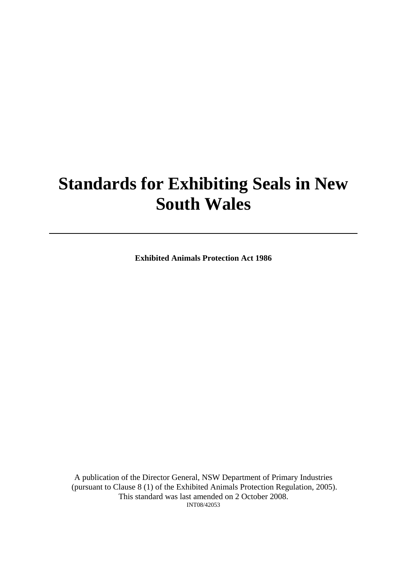# **Standards for Exhibiting Seals in New South Wales**

**Exhibited Animals Protection Act 1986** 

A publication of the Director General, NSW Department of Primary Industries (pursuant to Clause 8 (1) of the Exhibited Animals Protection Regulation, 2005). This standard was last amended on 2 October 2008. INT08/42053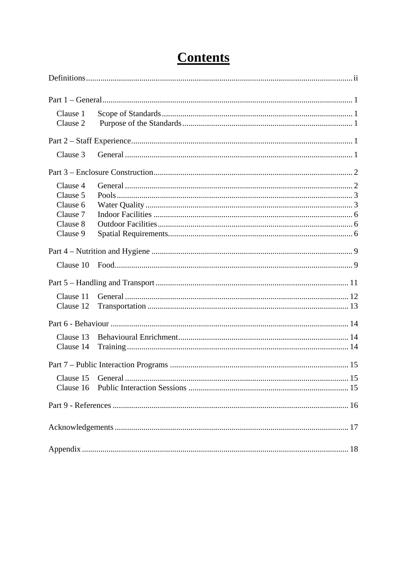| Clause 1<br>Clause 2   |  |
|------------------------|--|
|                        |  |
| Clause 3               |  |
|                        |  |
| Clause 4<br>Clause 5   |  |
| Clause 6<br>Clause 7   |  |
| Clause 8               |  |
| Clause 9               |  |
|                        |  |
|                        |  |
|                        |  |
| Clause 11<br>Clause 12 |  |
|                        |  |
| Clause 13<br>Clause 14 |  |
|                        |  |
|                        |  |
|                        |  |
|                        |  |
|                        |  |

## **Contents**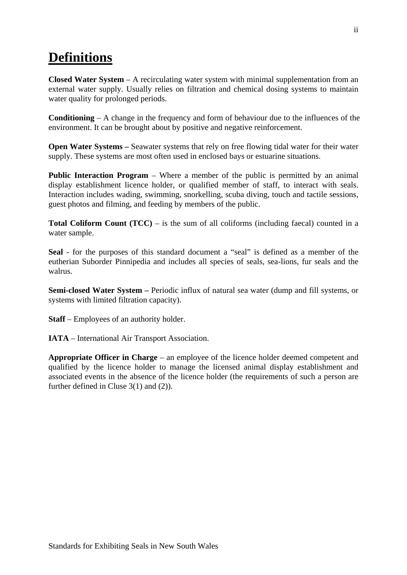## <span id="page-2-0"></span>**Definitions**

**Closed Water System** – A recirculating water system with minimal supplementation from an external water supply. Usually relies on filtration and chemical dosing systems to maintain water quality for prolonged periods.

**Conditioning** – A change in the frequency and form of behaviour due to the influences of the environment. It can be brought about by positive and negative reinforcement.

**Open Water Systems –** Seawater systems that rely on free flowing tidal water for their water supply. These systems are most often used in enclosed bays or estuarine situations.

**Public Interaction Program** – Where a member of the public is permitted by an animal display establishment licence holder, or qualified member of staff, to interact with seals. Interaction includes wading, swimming, snorkelling, scuba diving, touch and tactile sessions, guest photos and filming, and feeding by members of the public.

**Total Coliform Count (TCC)** – is the sum of all coliforms (including faecal) counted in a water sample.

**Seal** - for the purposes of this standard document a "seal" is defined as a member of the eutherian Suborder Pinnipedia and includes all species of seals, sea-lions, fur seals and the walrus.

**Semi-closed Water System –** Periodic influx of natural sea water (dump and fill systems, or systems with limited filtration capacity).

**Staff** – Employees of an authority holder.

**IATA** – International Air Transport Association.

**Appropriate Officer in Charge** – an employee of the licence holder deemed competent and qualified by the licence holder to manage the licensed animal display establishment and associated events in the absence of the licence holder (the requirements of such a person are further defined in Cluse 3(1) and (2)).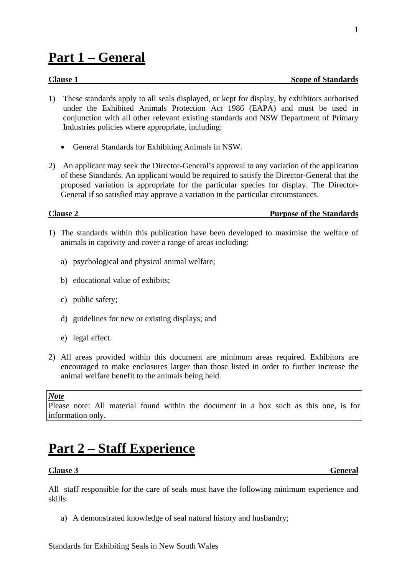## <span id="page-3-0"></span>**Part 1 – General**

- 1) These standards apply to all seals displayed, or kept for display, by exhibitors authorised under the Exhibited Animals Protection Act 1986 (EAPA) and must be used in conjunction with all other relevant existing standards and NSW Department of Primary Industries policies where appropriate, including:
	- General Standards for Exhibiting Animals in NSW.
- 2) An applicant may seek the Director-General's approval to any variation of the application of these Standards. An applicant would be required to satisfy the Director-General that the proposed variation is appropriate for the particular species for display. The Director-General if so satisfied may approve a variation in the particular circumstances.

**Clause 2 Purpose of the Standards**

- 1) The standards within this publication have been developed to maximise the welfare of animals in captivity and cover a range of areas including:
	- a) psychological and physical animal welfare;
	- b) educational value of exhibits;
	- c) public safety;
	- d) guidelines for new or existing displays; and
	- e) legal effect.
- 2) All areas provided within this document are minimum areas required. Exhibitors are encouraged to make enclosures larger than those listed in order to further increase the animal welfare benefit to the animals being held.

#### *Note*

Please note: All material found within the document in a box such as this one, is for information only.

## **Part 2 – Staff Experience**

#### **Clause 3** General

All staff responsible for the care of seals must have the following minimum experience and skills:

a) A demonstrated knowledge of seal natural history and husbandry;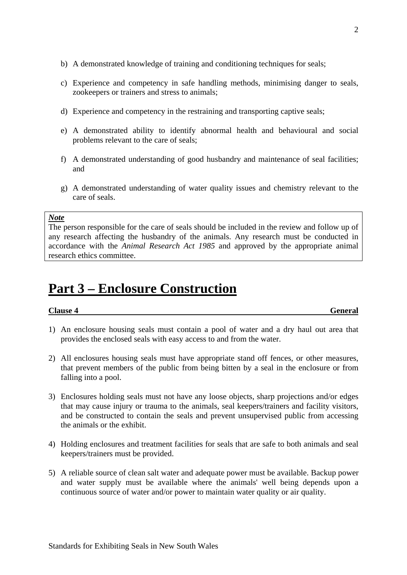- <span id="page-4-0"></span>b) A demonstrated knowledge of training and conditioning techniques for seals;
- c) Experience and competency in safe handling methods, minimising danger to seals, zookeepers or trainers and stress to animals;
- d) Experience and competency in the restraining and transporting captive seals;
- e) A demonstrated ability to identify abnormal health and behavioural and social problems relevant to the care of seals;
- f) A demonstrated understanding of good husbandry and maintenance of seal facilities; and
- g) A demonstrated understanding of water quality issues and chemistry relevant to the care of seals.

The person responsible for the care of seals should be included in the review and follow up of any research affecting the husbandry of the animals. Any research must be conducted in accordance with the *Animal Research Act 1985* and approved by the appropriate animal research ethics committee.

## **Part 3 – Enclosure Construction**

#### **Clause 4 General**

- 1) An enclosure housing seals must contain a pool of water and a dry haul out area that provides the enclosed seals with easy access to and from the water.
- 2) All enclosures housing seals must have appropriate stand off fences, or other measures, that prevent members of the public from being bitten by a seal in the enclosure or from falling into a pool.
- 3) Enclosures holding seals must not have any loose objects, sharp projections and/or edges that may cause injury or trauma to the animals, seal keepers/trainers and facility visitors, and be constructed to contain the seals and prevent unsupervised public from accessing the animals or the exhibit.
- 4) Holding enclosures and treatment facilities for seals that are safe to both animals and seal keepers/trainers must be provided.
- 5) A reliable source of clean salt water and adequate power must be available. Backup power and water supply must be available where the animals' well being depends upon a continuous source of water and/or power to maintain water quality or air quality.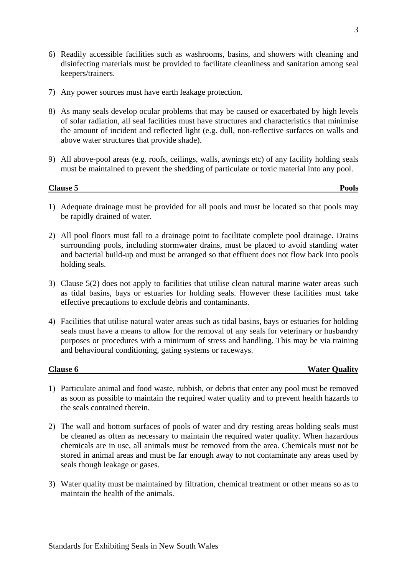- <span id="page-5-0"></span>6) Readily accessible facilities such as washrooms, basins, and showers with cleaning and disinfecting materials must be provided to facilitate cleanliness and sanitation among seal keepers/trainers.
- 7) Any power sources must have earth leakage protection.
- 8) As many seals develop ocular problems that may be caused or exacerbated by high levels of solar radiation, all seal facilities must have structures and characteristics that minimise the amount of incident and reflected light (e.g. dull, non-reflective surfaces on walls and above water structures that provide shade).
- 9) All above-pool areas (e.g. roofs, ceilings, walls, awnings etc) of any facility holding seals must be maintained to prevent the shedding of particulate or toxic material into any pool.

### **Clause 5 Pools**

- 1) Adequate drainage must be provided for all pools and must be located so that pools may be rapidly drained of water.
- 2) All pool floors must fall to a drainage point to facilitate complete pool drainage. Drains surrounding pools, including stormwater drains, must be placed to avoid standing water and bacterial build-up and must be arranged so that effluent does not flow back into pools holding seals.
- 3) Clause 5(2) does not apply to facilities that utilise clean natural marine water areas such as tidal basins, bays or estuaries for holding seals. However these facilities must take effective precautions to exclude debris and contaminants.
- 4) Facilities that utilise natural water areas such as tidal basins, bays or estuaries for holding seals must have a means to allow for the removal of any seals for veterinary or husbandry purposes or procedures with a minimum of stress and handling. This may be via training and behavioural conditioning, gating systems or raceways.

**Clause 6** Water Quality

- 1) Particulate animal and food waste, rubbish, or debris that enter any pool must be removed as soon as possible to maintain the required water quality and to prevent health hazards to the seals contained therein.
- 2) The wall and bottom surfaces of pools of water and dry resting areas holding seals must be cleaned as often as necessary to maintain the required water quality. When hazardous chemicals are in use, all animals must be removed from the area. Chemicals must not be stored in animal areas and must be far enough away to not contaminate any areas used by seals though leakage or gases.
- 3) Water quality must be maintained by filtration, chemical treatment or other means so as to maintain the health of the animals.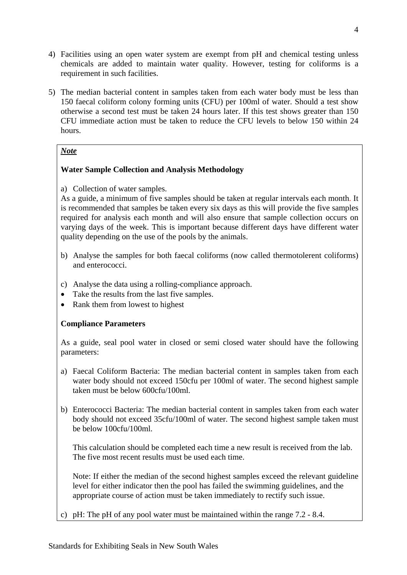- 4) Facilities using an open water system are exempt from pH and chemical testing unless chemicals are added to maintain water quality. However, testing for coliforms is a requirement in such facilities.
- 5) The median bacterial content in samples taken from each water body must be less than 150 faecal coliform colony forming units (CFU) per 100ml of water. Should a test show otherwise a second test must be taken 24 hours later. If this test shows greater than 150 CFU immediate action must be taken to reduce the CFU levels to below 150 within 24 hours.

### **Water Sample Collection and Analysis Methodology**

a) Collection of water samples.

As a guide, a minimum of five samples should be taken at regular intervals each month. It is recommended that samples be taken every six days as this will provide the five samples required for analysis each month and will also ensure that sample collection occurs on varying days of the week. This is important because different days have different water quality depending on the use of the pools by the animals.

- b) Analyse the samples for both faecal coliforms (now called thermotolerent coliforms) and enterococci.
- c) Analyse the data using a rolling-compliance approach.
- Take the results from the last five samples.
- Rank them from lowest to highest

### **Compliance Parameters**

As a guide, seal pool water in closed or semi closed water should have the following parameters:

- a) Faecal Coliform Bacteria: The median bacterial content in samples taken from each water body should not exceed 150cfu per 100ml of water. The second highest sample taken must be below 600cfu/100ml.
- b) Enterococci Bacteria: The median bacterial content in samples taken from each water body should not exceed 35cfu/100ml of water. The second highest sample taken must be below 100cfu/100ml.

This calculation should be completed each time a new result is received from the lab. The five most recent results must be used each time.

Note: If either the median of the second highest samples exceed the relevant guideline level for either indicator then the pool has failed the swimming guidelines, and the appropriate course of action must be taken immediately to rectify such issue.

c) pH: The pH of any pool water must be maintained within the range 7.2 - 8.4.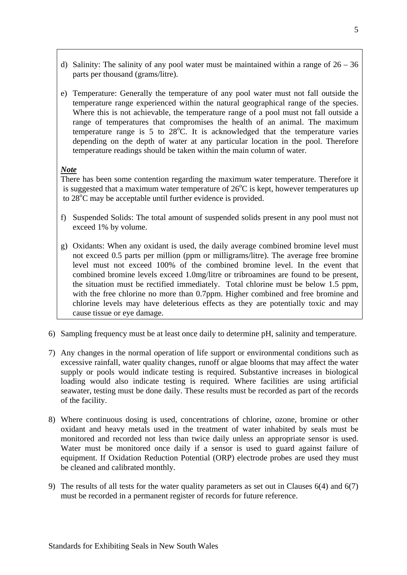- d) Salinity: The salinity of any pool water must be maintained within a range of  $26 36$ parts per thousand (grams/litre).
- e) Temperature: Generally the temperature of any pool water must not fall outside the temperature range experienced within the natural geographical range of the species. Where this is not achievable, the temperature range of a pool must not fall outside a range of temperatures that compromises the health of an animal. The maximum temperature range is 5 to  $28^{\circ}$ C. It is acknowledged that the temperature varies depending on the depth of water at any particular location in the pool. Therefore temperature readings should be taken within the main column of water.

There has been some contention regarding the maximum water temperature. Therefore it is suggested that a maximum water temperature of  $26^{\circ}$ C is kept, however temperatures up to 28<sup>°</sup>C may be acceptable until further evidence is provided.

- f) Suspended Solids: The total amount of suspended solids present in any pool must not exceed 1% by volume.
- g) Oxidants: When any oxidant is used, the daily average combined bromine level must not exceed 0.5 parts per million (ppm or milligrams/litre). The average free bromine level must not exceed 100% of the combined bromine level. In the event that combined bromine levels exceed 1.0mg/litre or tribroamines are found to be present, the situation must be rectified immediately. Total chlorine must be below 1.5 ppm, with the free chlorine no more than 0.7ppm. Higher combined and free bromine and chlorine levels may have deleterious effects as they are potentially toxic and may cause tissue or eye damage.
- 6) Sampling frequency must be at least once daily to determine pH, salinity and temperature.
- 7) Any changes in the normal operation of life support or environmental conditions such as excessive rainfall, water quality changes, runoff or algae blooms that may affect the water supply or pools would indicate testing is required. Substantive increases in biological loading would also indicate testing is required. Where facilities are using artificial seawater, testing must be done daily. These results must be recorded as part of the records of the facility.
- 8) Where continuous dosing is used, concentrations of chlorine, ozone, bromine or other oxidant and heavy metals used in the treatment of water inhabited by seals must be monitored and recorded not less than twice daily unless an appropriate sensor is used. Water must be monitored once daily if a sensor is used to guard against failure of equipment. If Oxidation Reduction Potential (ORP) electrode probes are used they must be cleaned and calibrated monthly.
- 9) The results of all tests for the water quality parameters as set out in Clauses 6(4) and 6(7) must be recorded in a permanent register of records for future reference.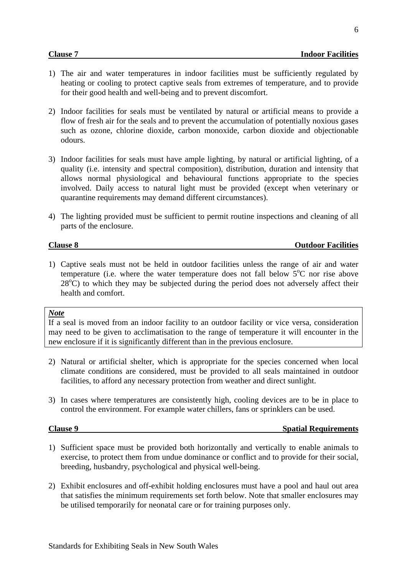6

- <span id="page-8-0"></span>1) The air and water temperatures in indoor facilities must be sufficiently regulated by heating or cooling to protect captive seals from extremes of temperature, and to provide for their good health and well-being and to prevent discomfort.
- 2) Indoor facilities for seals must be ventilated by natural or artificial means to provide a flow of fresh air for the seals and to prevent the accumulation of potentially noxious gases such as ozone, chlorine dioxide, carbon monoxide, carbon dioxide and objectionable odours.
- 3) Indoor facilities for seals must have ample lighting, by natural or artificial lighting, of a quality (i.e. intensity and spectral composition), distribution, duration and intensity that allows normal physiological and behavioural functions appropriate to the species involved. Daily access to natural light must be provided (except when veterinary or quarantine requirements may demand different circumstances).
- 4) The lighting provided must be sufficient to permit routine inspections and cleaning of all parts of the enclosure.

#### **Clause 8** Outdoor Facilities

1) Captive seals must not be held in outdoor facilities unless the range of air and water temperature (i.e. where the water temperature does not fall below  $5^{\circ}$ C nor rise above  $28^{\circ}$ C) to which they may be subjected during the period does not adversely affect their health and comfort.

#### *Note*

If a seal is moved from an indoor facility to an outdoor facility or vice versa, consideration may need to be given to acclimatisation to the range of temperature it will encounter in the new enclosure if it is significantly different than in the previous enclosure.

- 2) Natural or artificial shelter, which is appropriate for the species concerned when local climate conditions are considered, must be provided to all seals maintained in outdoor facilities, to afford any necessary protection from weather and direct sunlight.
- 3) In cases where temperatures are consistently high, cooling devices are to be in place to control the environment. For example water chillers, fans or sprinklers can be used.

#### **Clause 9** Spatial Requirements

- 1) Sufficient space must be provided both horizontally and vertically to enable animals to exercise, to protect them from undue dominance or conflict and to provide for their social, breeding, husbandry, psychological and physical well-being.
- 2) Exhibit enclosures and off-exhibit holding enclosures must have a pool and haul out area that satisfies the minimum requirements set forth below. Note that smaller enclosures may be utilised temporarily for neonatal care or for training purposes only.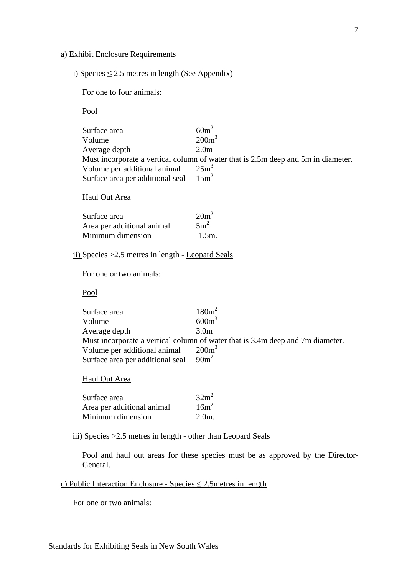#### a) Exhibit Enclosure Requirements

#### i) Species  $\leq$  2.5 metres in length (See Appendix)

For one to four animals:

Pool

| $60m^2$                                                                           |
|-----------------------------------------------------------------------------------|
| 200m <sup>3</sup>                                                                 |
| 2.0 <sub>m</sub>                                                                  |
| Must incorporate a vertical column of water that is 2.5m deep and 5m in diameter. |
| $25m^3$                                                                           |
| $15m^2$<br>Surface area per additional seal                                       |
|                                                                                   |

#### Haul Out Area

| Surface area               | $20m^2$         |
|----------------------------|-----------------|
| Area per additional animal | 5m <sup>2</sup> |
| Minimum dimension          | $1.5m$ .        |

#### ii) Species >2.5 metres in length - Leopard Seals

For one or two animals:

Pool

| $180m^2$                                                                       |
|--------------------------------------------------------------------------------|
| $600m^3$                                                                       |
| 3.0 <sub>m</sub>                                                               |
| Must incorporate a vertical column of water that is 3.4m deep and 7m diameter. |
| $200m^3$                                                                       |
| $90m^2$                                                                        |
|                                                                                |

#### Haul Out Area

| Surface area               | $32m^2$          |
|----------------------------|------------------|
| Area per additional animal | 16m <sup>2</sup> |
| Minimum dimension          | $2.0m$ .         |

iii) Species >2.5 metres in length - other than Leopard Seals

Pool and haul out areas for these species must be as approved by the Director-General.

#### c) Public Interaction Enclosure - Species  $\leq$  2.5 metres in length

For one or two animals: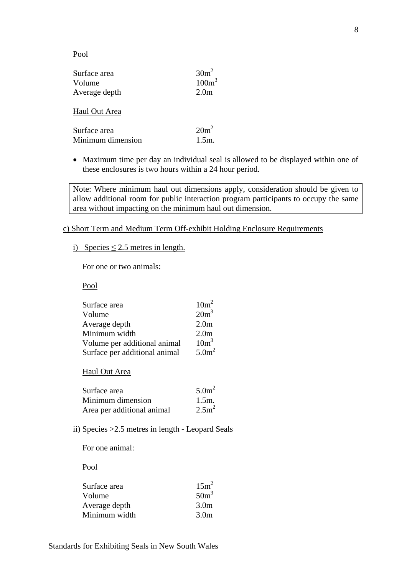#### Pool

| Surface area<br>Volume<br>Average depth | $30m^2$<br>100m <sup>3</sup><br>2.0 <sub>m</sub> |
|-----------------------------------------|--------------------------------------------------|
| Haul Out Area                           |                                                  |
| Surface area                            | $20m^2$                                          |

| Duriace area      | $\triangle$ $\overline{U}$ |
|-------------------|----------------------------|
| Minimum dimension | $1.5m$ .                   |

• Maximum time per day an individual seal is allowed to be displayed within one of these enclosures is two hours within a 24 hour period.

Note: Where minimum haul out dimensions apply, consideration should be given to allow additional room for public interaction program participants to occupy the same area without impacting on the minimum haul out dimension.

c) Short Term and Medium Term Off-exhibit Holding Enclosure Requirements

i) Species  $\leq$  2.5 metres in length.

For one or two animals:

Pool

| Surface area                  | $10m^2$           |
|-------------------------------|-------------------|
| Volume                        | $20m^3$           |
| Average depth                 | 2.0 <sub>m</sub>  |
| Minimum width                 | 2.0 <sub>m</sub>  |
| Volume per additional animal  | 10m <sup>3</sup>  |
| Surface per additional animal | 5.0m <sup>2</sup> |

Haul Out Area

| Surface area               | 5.0m <sup>2</sup> |
|----------------------------|-------------------|
| Minimum dimension          | $1.5m$ .          |
| Area per additional animal | 2.5m <sup>2</sup> |

ii) Species >2.5 metres in length - Leopard Seals

For one animal:

Pool

| 15m <sup>2</sup> |
|------------------|
| $50m^3$          |
| 3.0 <sub>m</sub> |
| 3.0 <sub>m</sub> |
|                  |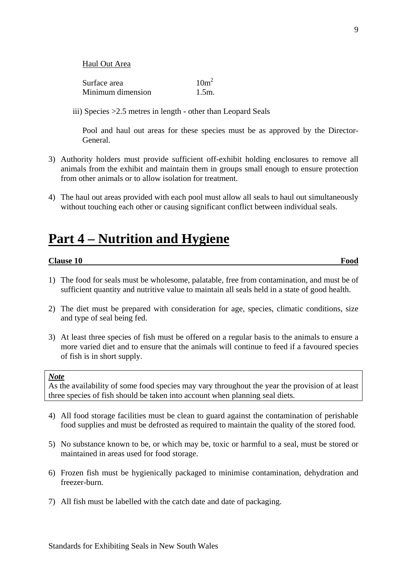<span id="page-11-0"></span>Haul Out Area

| Surface area      | 10m <sup>2</sup> |
|-------------------|------------------|
| Minimum dimension | $1.5m$ .         |

iii) Species >2.5 metres in length - other than Leopard Seals

Pool and haul out areas for these species must be as approved by the Director-General.

- 3) Authority holders must provide sufficient off-exhibit holding enclosures to remove all animals from the exhibit and maintain them in groups small enough to ensure protection from other animals or to allow isolation for treatment.
- 4) The haul out areas provided with each pool must allow all seals to haul out simultaneously without touching each other or causing significant conflict between individual seals.

## **Part 4 – Nutrition and Hygiene**

#### **Clause 10** Food

- 1) The food for seals must be wholesome, palatable, free from contamination, and must be of sufficient quantity and nutritive value to maintain all seals held in a state of good health.
- 2) The diet must be prepared with consideration for age, species, climatic conditions, size and type of seal being fed.
- 3) At least three species of fish must be offered on a regular basis to the animals to ensure a more varied diet and to ensure that the animals will continue to feed if a favoured species of fish is in short supply.

#### *Note*

As the availability of some food species may vary throughout the year the provision of at least three species of fish should be taken into account when planning seal diets.

- 4) All food storage facilities must be clean to guard against the contamination of perishable food supplies and must be defrosted as required to maintain the quality of the stored food.
- 5) No substance known to be, or which may be, toxic or harmful to a seal, must be stored or maintained in areas used for food storage.
- 6) Frozen fish must be hygienically packaged to minimise contamination, dehydration and freezer-burn.
- 7) All fish must be labelled with the catch date and date of packaging.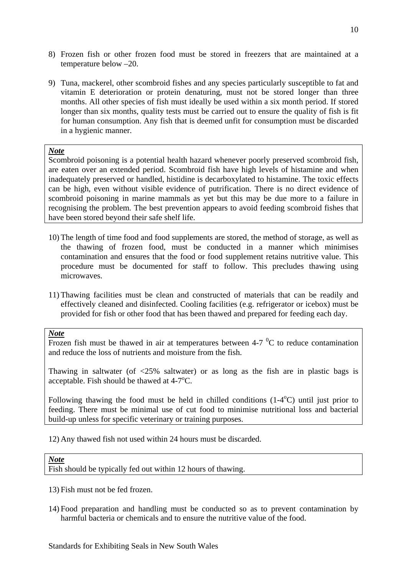- 8) Frozen fish or other frozen food must be stored in freezers that are maintained at a temperature below –20.
- 9) Tuna, mackerel, other scombroid fishes and any species particularly susceptible to fat and vitamin E deterioration or protein denaturing, must not be stored longer than three months. All other species of fish must ideally be used within a six month period. If stored longer than six months, quality tests must be carried out to ensure the quality of fish is fit for human consumption. Any fish that is deemed unfit for consumption must be discarded in a hygienic manner.

Scombroid poisoning is a potential health hazard whenever poorly preserved scombroid fish, are eaten over an extended period. Scombroid fish have high levels of histamine and when inadequately preserved or handled, histidine is decarboxylated to histamine. The toxic effects can be high, even without visible evidence of putrification. There is no direct evidence of scombroid poisoning in marine mammals as yet but this may be due more to a failure in recognising the problem. The best prevention appears to avoid feeding scombroid fishes that have been stored beyond their safe shelf life.

- 10) The length of time food and food supplements are stored, the method of storage, as well as the thawing of frozen food, must be conducted in a manner which minimises contamination and ensures that the food or food supplement retains nutritive value. This procedure must be documented for staff to follow. This precludes thawing using microwaves.
- 11) Thawing facilities must be clean and constructed of materials that can be readily and effectively cleaned and disinfected. Cooling facilities (e.g. refrigerator or icebox) must be provided for fish or other food that has been thawed and prepared for feeding each day.

#### *Note*

Frozen fish must be thawed in air at temperatures between 4-7  $\mathrm{^{0}C}$  to reduce contamination and reduce the loss of nutrients and moisture from the fish.

Thawing in saltwater (of  $\langle 25\%$  saltwater) or as long as the fish are in plastic bags is acceptable. Fish should be thawed at  $4\n-7^\circ$ C.

Following thawing the food must be held in chilled conditions  $(1-4<sup>o</sup>C)$  until just prior to feeding. There must be minimal use of cut food to minimise nutritional loss and bacterial build-up unless for specific veterinary or training purposes.

12) Any thawed fish not used within 24 hours must be discarded.

#### *Note*

Fish should be typically fed out within 12 hours of thawing.

- 13) Fish must not be fed frozen.
- 14) Food preparation and handling must be conducted so as to prevent contamination by harmful bacteria or chemicals and to ensure the nutritive value of the food.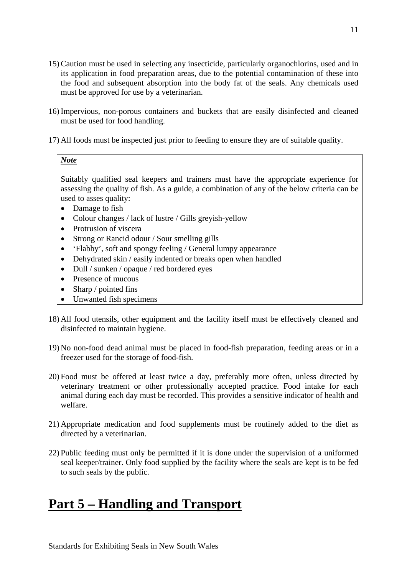- <span id="page-13-0"></span>15) Caution must be used in selecting any insecticide, particularly organochlorins, used and in its application in food preparation areas, due to the potential contamination of these into the food and subsequent absorption into the body fat of the seals. Any chemicals used must be approved for use by a veterinarian.
- 16) Impervious, non-porous containers and buckets that are easily disinfected and cleaned must be used for food handling.
- 17) All foods must be inspected just prior to feeding to ensure they are of suitable quality.

Suitably qualified seal keepers and trainers must have the appropriate experience for assessing the quality of fish. As a guide, a combination of any of the below criteria can be used to asses quality:

- Damage to fish
- Colour changes / lack of lustre / Gills greyish-yellow
- Protrusion of viscera
- Strong or Rancid odour / Sour smelling gills
- 'Flabby', soft and spongy feeling / General lumpy appearance
- Dehydrated skin / easily indented or breaks open when handled
- Dull / sunken / opaque / red bordered eyes
- Presence of mucous
- Sharp / pointed fins
- Unwanted fish specimens
- 18) All food utensils, other equipment and the facility itself must be effectively cleaned and disinfected to maintain hygiene.
- 19) No non-food dead animal must be placed in food-fish preparation, feeding areas or in a freezer used for the storage of food-fish.
- 20) Food must be offered at least twice a day, preferably more often, unless directed by veterinary treatment or other professionally accepted practice. Food intake for each animal during each day must be recorded. This provides a sensitive indicator of health and welfare.
- 21) Appropriate medication and food supplements must be routinely added to the diet as directed by a veterinarian.
- 22) Public feeding must only be permitted if it is done under the supervision of a uniformed seal keeper/trainer. Only food supplied by the facility where the seals are kept is to be fed to such seals by the public.

## **Part 5 – Handling and Transport**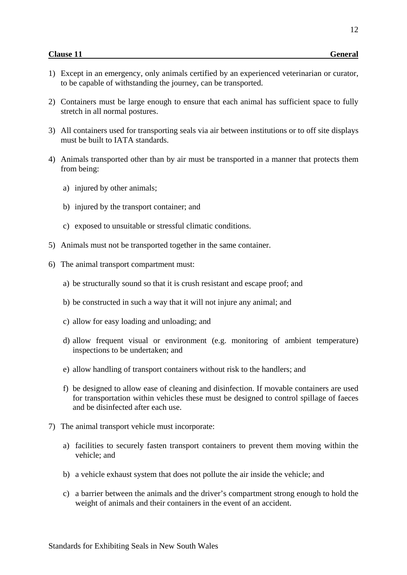12

- <span id="page-14-0"></span>1) Except in an emergency, only animals certified by an experienced veterinarian or curator, to be capable of withstanding the journey, can be transported.
- 2) Containers must be large enough to ensure that each animal has sufficient space to fully stretch in all normal postures.
- 3) All containers used for transporting seals via air between institutions or to off site displays must be built to IATA standards.
- 4) Animals transported other than by air must be transported in a manner that protects them from being:
	- a) injured by other animals;
	- b) injured by the transport container; and
	- c) exposed to unsuitable or stressful climatic conditions.
- 5) Animals must not be transported together in the same container.
- 6) The animal transport compartment must:
	- a) be structurally sound so that it is crush resistant and escape proof; and
	- b) be constructed in such a way that it will not injure any animal; and
	- c) allow for easy loading and unloading; and
	- d) allow frequent visual or environment (e.g. monitoring of ambient temperature) inspections to be undertaken; and
	- e) allow handling of transport containers without risk to the handlers; and
	- f) be designed to allow ease of cleaning and disinfection. If movable containers are used for transportation within vehicles these must be designed to control spillage of faeces and be disinfected after each use.
- 7) The animal transport vehicle must incorporate:
	- a) facilities to securely fasten transport containers to prevent them moving within the vehicle; and
	- b) a vehicle exhaust system that does not pollute the air inside the vehicle; and
	- c) a barrier between the animals and the driver's compartment strong enough to hold the weight of animals and their containers in the event of an accident.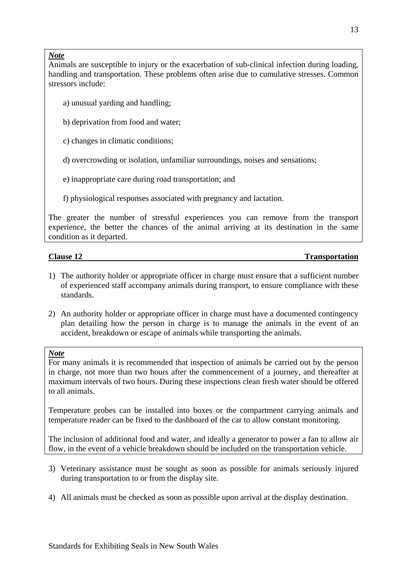<span id="page-15-0"></span>Animals are susceptible to injury or the exacerbation of sub-clinical infection during loading, handling and transportation. These problems often arise due to cumulative stresses. Common stressors include:

- a) unusual yarding and handling;
- b) deprivation from food and water;
- c) changes in climatic conditions;
- d) overcrowding or isolation, unfamiliar surroundings, noises and sensations;
- e) inappropriate care during road transportation; and
- f) physiological responses associated with pregnancy and lactation.

The greater the number of stressful experiences you can remove from the transport experience, the better the chances of the animal arriving at its destination in the same condition as it departed.

### **Clause 12** Transportation

- 1) The authority holder or appropriate officer in charge must ensure that a sufficient number of experienced staff accompany animals during transport, to ensure compliance with these standards.
- 2) An authority holder or appropriate officer in charge must have a documented contingency plan detailing how the person in charge is to manage the animals in the event of an accident, breakdown or escape of animals while transporting the animals.

#### *Note*

For many animals it is recommended that inspection of animals be carried out by the person in charge, not more than two hours after the commencement of a journey, and thereafter at maximum intervals of two hours. During these inspections clean fresh water should be offered to all animals.

Temperature probes can be installed into boxes or the compartment carrying animals and temperature reader can be fixed to the dashboard of the car to allow constant monitoring.

The inclusion of additional food and water, and ideally a generator to power a fan to allow air flow, in the event of a vehicle breakdown should be included on the transportation vehicle.

- 3) Veterinary assistance must be sought as soon as possible for animals seriously injured during transportation to or from the display site.
- 4) All animals must be checked as soon as possible upon arrival at the display destination.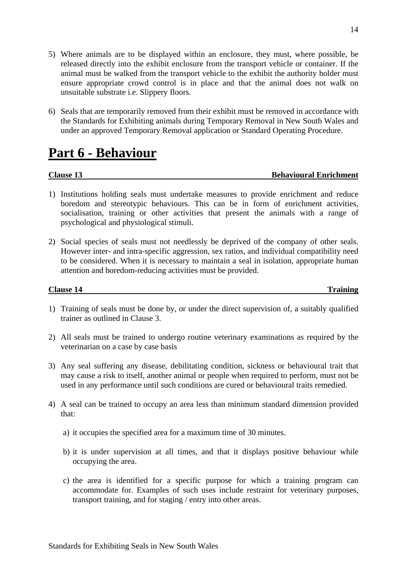- <span id="page-16-0"></span>5) Where animals are to be displayed within an enclosure, they must, where possible, be released directly into the exhibit enclosure from the transport vehicle or container. If the animal must be walked from the transport vehicle to the exhibit the authority holder must ensure appropriate crowd control is in place and that the animal does not walk on unsuitable substrate i.e. Slippery floors.
- 6) Seals that are temporarily removed from their exhibit must be removed in accordance with the Standards for Exhibiting animals during Temporary Removal in New South Wales and under an approved Temporary Removal application or Standard Operating Procedure.

## **Part 6 - Behaviour**

#### **Clause 13 Behavioural Enrichment**

- 1) Institutions holding seals must undertake measures to provide enrichment and reduce boredom and stereotypic behaviours. This can be in form of enrichment activities, socialisation, training or other activities that present the animals with a range of psychological and physiological stimuli.
- 2) Social species of seals must not needlessly be deprived of the company of other seals. However inter- and intra-specific aggression, sex ratios, and individual compatibility need to be considered. When it is necessary to maintain a seal in isolation, appropriate human attention and boredom-reducing activities must be provided.

#### **Clause 14** Training

- 1) Training of seals must be done by, or under the direct supervision of, a suitably qualified trainer as outlined in Clause 3.
- 2) All seals must be trained to undergo routine veterinary examinations as required by the veterinarian on a case by case basis
- 3) Any seal suffering any disease, debilitating condition, sickness or behavioural trait that may cause a risk to itself, another animal or people when required to perform, must not be used in any performance until such conditions are cured or behavioural traits remedied.
- 4) A seal can be trained to occupy an area less than minimum standard dimension provided that:
	- a) it occupies the specified area for a maximum time of 30 minutes.
	- b) it is under supervision at all times, and that it displays positive behaviour while occupying the area.
	- c) the area is identified for a specific purpose for which a training program can accommodate for. Examples of such uses include restraint for veterinary purposes, transport training, and for staging / entry into other areas.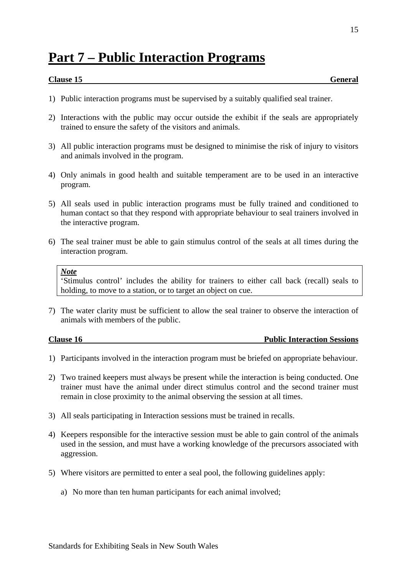## <span id="page-17-0"></span>**Part 7 – Public Interaction Programs**

### **Clause 15** General

15

- 1) Public interaction programs must be supervised by a suitably qualified seal trainer.
- 2) Interactions with the public may occur outside the exhibit if the seals are appropriately trained to ensure the safety of the visitors and animals.
- 3) All public interaction programs must be designed to minimise the risk of injury to visitors and animals involved in the program.
- 4) Only animals in good health and suitable temperament are to be used in an interactive program.
- 5) All seals used in public interaction programs must be fully trained and conditioned to human contact so that they respond with appropriate behaviour to seal trainers involved in the interactive program.
- 6) The seal trainer must be able to gain stimulus control of the seals at all times during the interaction program.

#### *Note*

'Stimulus control' includes the ability for trainers to either call back (recall) seals to holding, to move to a station, or to target an object on cue.

7) The water clarity must be sufficient to allow the seal trainer to observe the interaction of animals with members of the public.

**Clause 16 Public Interaction Sessions** 

- 1) Participants involved in the interaction program must be briefed on appropriate behaviour.
- 2) Two trained keepers must always be present while the interaction is being conducted. One trainer must have the animal under direct stimulus control and the second trainer must remain in close proximity to the animal observing the session at all times.
- 3) All seals participating in Interaction sessions must be trained in recalls.
- 4) Keepers responsible for the interactive session must be able to gain control of the animals used in the session, and must have a working knowledge of the precursors associated with aggression.
- 5) Where visitors are permitted to enter a seal pool, the following guidelines apply:
	- a) No more than ten human participants for each animal involved;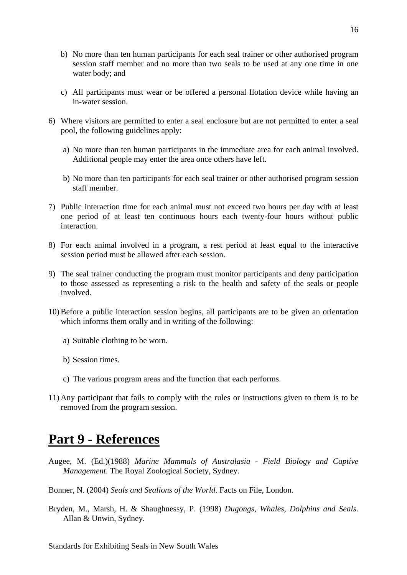- <span id="page-18-0"></span>b) No more than ten human participants for each seal trainer or other authorised program session staff member and no more than two seals to be used at any one time in one water body; and
- c) All participants must wear or be offered a personal flotation device while having an in-water session.
- 6) Where visitors are permitted to enter a seal enclosure but are not permitted to enter a seal pool, the following guidelines apply:
	- a) No more than ten human participants in the immediate area for each animal involved. Additional people may enter the area once others have left.
	- b) No more than ten participants for each seal trainer or other authorised program session staff member.
- 7) Public interaction time for each animal must not exceed two hours per day with at least one period of at least ten continuous hours each twenty-four hours without public interaction.
- 8) For each animal involved in a program, a rest period at least equal to the interactive session period must be allowed after each session.
- 9) The seal trainer conducting the program must monitor participants and deny participation to those assessed as representing a risk to the health and safety of the seals or people involved.
- 10) Before a public interaction session begins, all participants are to be given an orientation which informs them orally and in writing of the following:
	- a) Suitable clothing to be worn.
	- b) Session times.
	- c) The various program areas and the function that each performs.
- 11) Any participant that fails to comply with the rules or instructions given to them is to be removed from the program session.

## **Part 9 - References**

- Augee, M. (Ed.)(1988) *Marine Mammals of Australasia Field Biology and Captive Management*. The Royal Zoological Society, Sydney.
- Bonner, N. (2004) *Seals and Sealions of the World*. Facts on File, London.
- Bryden, M., Marsh, H. & Shaughnessy, P. (1998) *Dugongs, Whales, Dolphins and Seals*. Allan & Unwin, Sydney.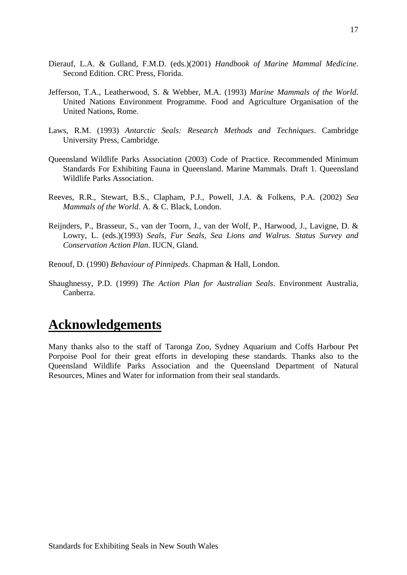- <span id="page-19-0"></span>Dierauf, L.A. & Gulland, F.M.D. (eds.)(2001) *Handbook of Marine Mammal Medicine*. Second Edition. CRC Press, Florida.
- Jefferson, T.A., Leatherwood, S. & Webber, M.A. (1993) *Marine Mammals of the World*. United Nations Environment Programme. Food and Agriculture Organisation of the United Nations, Rome.
- Laws, R.M. (1993) *Antarctic Seals: Research Methods and Techniques*. Cambridge University Press, Cambridge.
- Queensland Wildlife Parks Association (2003) Code of Practice. Recommended Minimum Standards For Exhibiting Fauna in Queensland. Marine Mammals. Draft 1. Queensland Wildlife Parks Association.
- Reeves, R.R., Stewart, B.S., Clapham, P.J., Powell, J.A. & Folkens, P.A. (2002) *Sea Mammals of the World*. A. & C. Black, London.
- Reijnders, P., Brasseur, S., van der Toorn, J., van der Wolf, P., Harwood, J., Lavigne, D. & Lowry, L. (eds.)(1993) *Seals, Fur Seals, Sea Lions and Walrus. Status Survey and Conservation Action Plan*. IUCN, Gland.
- Renouf, D. (1990) *Behaviour of Pinnipeds*. Chapman & Hall, London.
- Shaughnessy, P.D. (1999) *The Action Plan for Australian Seals*. Environment Australia, Canberra.

## **Acknowledgements**

Many thanks also to the staff of Taronga Zoo, Sydney Aquarium and Coffs Harbour Pet Porpoise Pool for their great efforts in developing these standards. Thanks also to the Queensland Wildlife Parks Association and the Queensland Department of Natural Resources, Mines and Water for information from their seal standards.